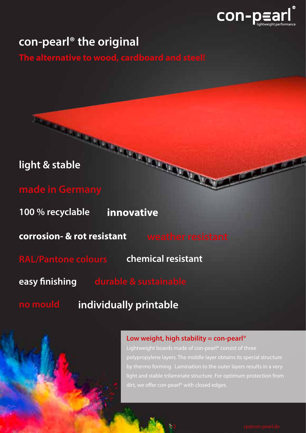

# **con-pearl® the original**

**The alternative to wood, cardboard and steel!**

# **light & stable**

**made in Germany**

**100 % recyclable innovative**

**corrosion- & rot resistant**

**RAL/Pantone colours chemical resistant**

**easy finishing**

**no mould individually printable**

### **Low weight, high stability = con-pearl**®

Lightweight boards made of con-pearl® consist of three polypropylene layers. The middle layer obtains its special structure by thermo forming. Lamination to the outer layers results in a very light and stable trilaminate structure. For optimum protection from dirt, we offer con-pearl® with closed edges.